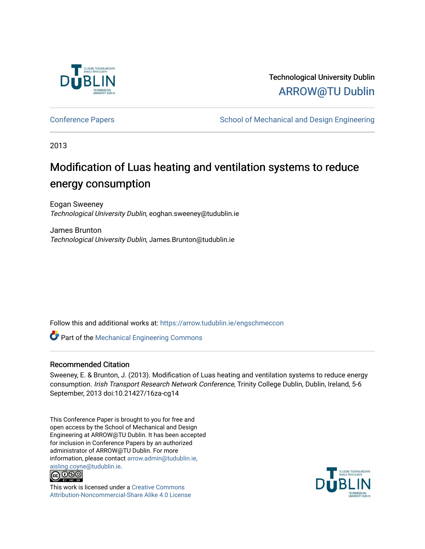

# Technological University Dublin [ARROW@TU Dublin](https://arrow.tudublin.ie/)

[Conference Papers](https://arrow.tudublin.ie/engschmeccon) **School of Mechanical and Design Engineering** School of Mechanical and Design Engineering

2013

# Modification of Luas heating and ventilation systems to reduce energy consumption

Eogan Sweeney Technological University Dublin, eoghan.sweeney@tudublin.ie

James Brunton Technological University Dublin, James.Brunton@tudublin.ie

Follow this and additional works at: [https://arrow.tudublin.ie/engschmeccon](https://arrow.tudublin.ie/engschmeccon?utm_source=arrow.tudublin.ie%2Fengschmeccon%2F62&utm_medium=PDF&utm_campaign=PDFCoverPages) 

Part of the [Mechanical Engineering Commons](http://network.bepress.com/hgg/discipline/293?utm_source=arrow.tudublin.ie%2Fengschmeccon%2F62&utm_medium=PDF&utm_campaign=PDFCoverPages) 

# Recommended Citation

Sweeney, E. & Brunton, J. (2013). Modification of Luas heating and ventilation systems to reduce energy consumption. Irish Transport Research Network Conference, Trinity College Dublin, Dublin, Ireland, 5-6 September, 2013 doi:10.21427/16za-cg14

This Conference Paper is brought to you for free and open access by the School of Mechanical and Design Engineering at ARROW@TU Dublin. It has been accepted for inclusion in Conference Papers by an authorized administrator of ARROW@TU Dublin. For more information, please contact [arrow.admin@tudublin.ie,](mailto:arrow.admin@tudublin.ie,%20aisling.coyne@tudublin.ie)  [aisling.coyne@tudublin.ie.](mailto:arrow.admin@tudublin.ie,%20aisling.coyne@tudublin.ie)<br>© 090



This work is licensed under a [Creative Commons](http://creativecommons.org/licenses/by-nc-sa/4.0/) [Attribution-Noncommercial-Share Alike 4.0 License](http://creativecommons.org/licenses/by-nc-sa/4.0/)

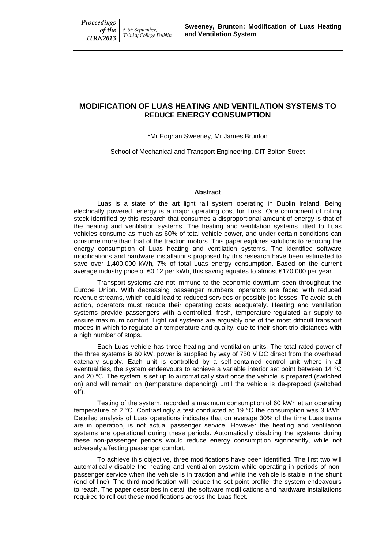# **MODIFICATION OF LUAS HEATING AND VENTILATION SYSTEMS TO REDUCE ENERGY CONSUMPTION**

\*Mr Eoghan Sweeney, Mr James Brunton

School of Mechanical and Transport Engineering, DIT Bolton Street

#### **Abstract**

Luas is a state of the art light rail system operating in Dublin Ireland. Being electrically powered, energy is a major operating cost for Luas. One component of rolling stock identified by this research that consumes a disproportional amount of energy is that of the heating and ventilation systems. The heating and ventilation systems fitted to Luas vehicles consume as much as 60% of total vehicle power, and under certain conditions can consume more than that of the traction motors. This paper explores solutions to reducing the energy consumption of Luas heating and ventilation systems. The identified software modifications and hardware installations proposed by this research have been estimated to save over 1,400,000 kWh, 7% of total Luas energy consumption. Based on the current average industry price of €0.12 per kWh, this saving equates to almost €170,000 per year.

Transport systems are not immune to the economic downturn seen throughout the Europe Union. With decreasing passenger numbers, operators are faced with reduced revenue streams, which could lead to reduced services or possible job losses. To avoid such action, operators must reduce their operating costs adequately. Heating and ventilation systems provide passengers with a controlled, fresh, temperature-regulated air supply to ensure maximum comfort. Light rail systems are arguably one of the most difficult transport modes in which to regulate air temperature and quality, due to their short trip distances with a high number of stops.

Each Luas vehicle has three heating and ventilation units. The total rated power of the three systems is 60 kW, power is supplied by way of 750 V DC direct from the overhead catenary supply. Each unit is controlled by a self-contained control unit where in all eventualities, the system endeavours to achieve a variable interior set point between 14 °C and 20  $^{\circ}$ C. The system is set up to automatically start once the vehicle is prepared (switched on) and will remain on (temperature depending) until the vehicle is de-prepped (switched off).

Testing of the system, recorded a maximum consumption of 60 kWh at an operating temperature of 2 °C. Contrastingly a test conducted at 19 °C the consumption was 3 kWh. Detailed analysis of Luas operations indicates that on average 30% of the time Luas trams are in operation, is not actual passenger service. However the heating and ventilation systems are operational during these periods. Automatically disabling the systems during these non-passenger periods would reduce energy consumption significantly, while not adversely affecting passenger comfort.

To achieve this objective, three modifications have been identified. The first two will automatically disable the heating and ventilation system while operating in periods of nonpassenger service when the vehicle is in traction and while the vehicle is stable in the shunt (end of line). The third modification will reduce the set point profile, the system endeavours to reach. The paper describes in detail the software modifications and hardware installations required to roll out these modifications across the Luas fleet.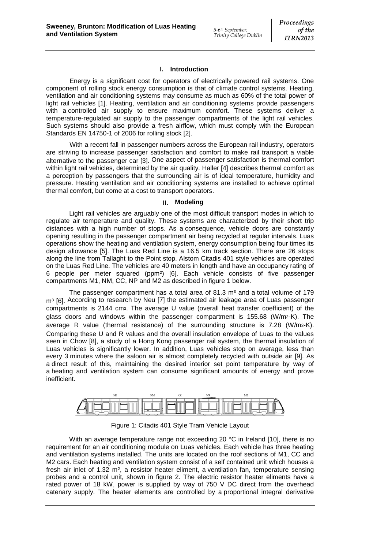# **I. Introduction**

Energy is a significant cost for operators of electrically powered rail systems. One component of rolling stock energy consumption is that of climate control systems. Heating, ventilation and air conditioning systems may consume as much as 60% of the total power of light rail vehicles [1]. Heating, ventilation and air conditioning systems provide passengers with a controlled air supply to ensure maximum comfort. These systems deliver a temperature-regulated air supply to the passenger compartments of the light rail vehicles. Such systems should also provide a fresh airflow, which must comply with the European Standards EN 14750-1 of 2006 for rolling stock [2].

With a recent fall in passenger numbers across the European rail industry, operators are striving to increase passenger satisfaction and comfort to make rail transport a viable alternative to the passenger car [3]. One aspect of passenger satisfaction is thermal comfort within light rail vehicles, determined by the air quality. Haller [4] describes thermal comfort as a perception by passengers that the surrounding air is of ideal temperature, humidity and pressure. Heating ventilation and air conditioning systems are installed to achieve optimal thermal comfort, but come at a cost to transport operators.

#### **II. Modeling**

Light rail vehicles are arguably one of the most difficult transport modes in which to regulate air temperature and quality. These systems are characterized by their short trip distances with a high number of stops. As a consequence, vehicle doors are constantly opening resulting in the passenger compartment air being recycled at regular intervals. Luas operations show the heating and ventilation system, energy consumption being four times its design allowance [5]. The Luas Red Line is a 16.5 km track section. There are 26 stops along the line from Tallaght to the Point stop. Alstom Citadis 401 style vehicles are operated on the Luas Red Line. The vehicles are 40 meters in length and have an occupancy rating of 6 people per meter squared (ppm²) [6]. Each vehicle consists of five passenger compartments M1, NM, CC, NP and M2 as described in figure 1 below.

The passenger compartment has a total area of 81.3  $m<sup>3</sup>$  and a total volume of 179 m<sup>3</sup> [6]. According to research by Neu [7] the estimated air leakage area of Luas passenger compartments is 2144 cm². The average U value (overall heat transfer coefficient) of the glass doors and windows within the passenger compartment is 155.68 (W/m2-K). The average R value (thermal resistance) of the surrounding structure is  $7.28$  (W/m2-K). Comparing these U and R values and the overall insulation envelope of Luas to the values seen in Chow [8], a study of a Hong Kong passenger rail system, the thermal insulation of Luas vehicles is significantly lower. In addition, Luas vehicles stop on average, less than every 3 minutes where the saloon air is almost completely recycled with outside air [9]. As a direct result of this, maintaining the desired interior set point temperature by way of a heating and ventilation system can consume significant amounts of energy and prove inefficient.



Figure 1: Citadis 401 Style Tram Vehicle Layout

With an average temperature range not exceeding 20 °C in Ireland [10], there is no requirement for an air conditioning module on Luas vehicles. Each vehicle has three heating and ventilation systems installed. The units are located on the roof sections of M1, CC and M2 cars. Each heating and ventilation system consist of a self contained unit which houses a fresh air inlet of 1.32 m², a resistor heater eliment, a ventilation fan, temperature sensing probes and a control unit, shown in figure 2. The electric resistor heater eliments have a rated power of 18 kW, power is supplied by way of 750 V DC direct from the overhead catenary supply. The heater elements are controlled by a proportional integral derivative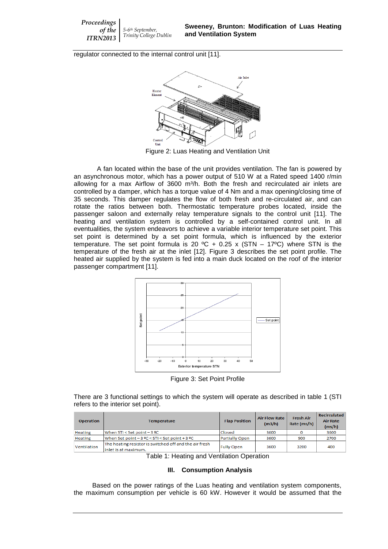*Proceedings of the ITRN2013 5-6th September, Trinity College Dublin*

regulator connected to the internal control unit [11].



Figure 2: Luas Heating and Ventilation Unit

A fan located within the base of the unit provides ventilation. The fan is powered by an asynchronous motor, which has a power output of 510 W at a Rated speed 1400 r/min allowing for a max Airflow of  $3600$  m<sup>3</sup>/h. Both the fresh and recirculated air inlets are controlled by a damper, which has a torque value of 4 Nm and a max opening/closing time of 35 seconds. This damper regulates the flow of both fresh and re-circulated air, and can rotate the ratios between both. Thermostatic temperature probes located, inside the passenger saloon and externally relay temperature signals to the control unit [11]. The heating and ventilation system is controlled by a self-contained control unit. In all eventualities, the system endeavors to achieve a variable interior temperature set point. This set point is determined by a set point formula, which is influenced by the exterior temperature. The set point formula is 20 °C + 0.25 x (STN – 17°C) where STN is the temperature of the fresh air at the inlet [12]. Figure 3 describes the set point profile. The heated air supplied by the system is fed into a main duck located on the roof of the interior passenger compartment [11].



Figure 3: Set Point Profile

There are 3 functional settings to which the system will operate as described in table 1 (STI refers to the interior set point).

| <b>Operation</b> | <b>Temperature</b>                                                              | <b>Flap Position</b>  | <b>Air Flow Rate</b><br>(m3/h) | <b>Fresh Air</b><br>Rate (ms/h) | <b>Recirculated</b><br><b>Air Rate</b><br>(ms/h) |
|------------------|---------------------------------------------------------------------------------|-----------------------|--------------------------------|---------------------------------|--------------------------------------------------|
| Heating          | When STI < Set point - 3 ºC                                                     | Closed                | 3600                           |                                 | 3600                                             |
| Heating          | When Set point - 3 °C < STI < Set point + 3 °C                                  | <b>Partially Open</b> | 3600                           | 900                             | 2700                                             |
| Ventilation      | The heating resistor is switched off and the air fresh<br>linlet is at maximum. | <b>Fully Open</b>     | 3600                           | 3200                            | 400                                              |

Table 1: Heating and Ventilation Operation

#### **III. Consumption Analysis**

Based on the power ratings of the Luas heating and ventilation system components, the maximum consumption per vehicle is 60 kW. However it would be assumed that the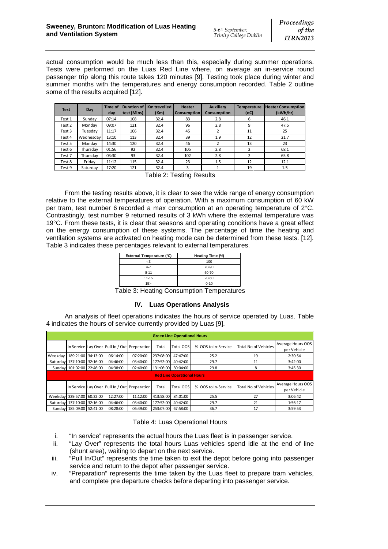actual consumption would be much less than this, especially during summer operations. Tests were performed on the Luas Red Line where, on average an in-service round passenger trip along this route takes 120 minutes [9]. Testing took place during winter and summer months with the temperatures and energy consumption recorded. Table 2 outline some of the results acquired [12].

| <b>Test</b> | Day       | Time of | <b>Duration of</b> | Km travelled | <b>Heater</b>      | <b>Auxiliary</b>   | <b>Temperature</b> | <b>Heater Consumption</b> |
|-------------|-----------|---------|--------------------|--------------|--------------------|--------------------|--------------------|---------------------------|
|             |           | dav     | test (Mins)        | (Km)         | <b>Consumption</b> | <b>Consumption</b> | (OC)               | (kWh/hr)                  |
| Test 1      | Sunday    | 07:14   | 108                | 32.4         | 83                 | 2.8                | 6                  | 46.1                      |
| Test 2      | Mondav    | 09:07   | 121                | 32.4         | 96                 | 2.8                | 9                  | 47.5                      |
| Test 3      | Tuesdav   | 11:17   | 106                | 32.4         | 45                 | 2                  | 11                 | 25                        |
| Test 4      | Wednesday | 13:10   | 113                | 32.4         | 39                 | 1.9                | 12                 | 21.7                      |
| Test 5      | Mondav    | 14:30   | 120                | 32.4         | 46                 |                    | 13                 | 23                        |
| Test 6      | Thursday  | 01:56   | 92                 | 32.4         | 105                | 2.8                | 2                  | 68.1                      |
| Test 7      | Thursdav  | 03:30   | 93                 | 32.4         | 102                | 2.8                | 2                  | 65.8                      |
| Test 8      | Friday    | 11:12   | 115                | 32.4         | 23                 | 1.5                | 12                 | 12.1                      |
| Test 9      | Saturday  | 17:20   | 121                | 32.4         | 3                  |                    | 19                 | 1.5                       |

Table 2: Testing Results

From the testing results above, it is clear to see the wide range of energy consumption relative to the external temperatures of operation. With a maximum consumption of 60 kW per tram, test number 6 recorded a max consumption at an operating temperature of 2°C. Contrastingly, test number 9 returned results of 3 kWh where the external temperature was 19°C. From these tests, it is clear that seasons and operating conditions have a great effect on the energy consumption of these systems. The percentage of time the heating and ventilation systems are activated on heating mode can be determined from these tests. [12]. Table 3 indicates these percentages relevant to external temperatures.

| External Temperature (°C) | Heating Time (%) |
|---------------------------|------------------|
| -3                        | 100              |
| $4 - 7$                   | 70-90            |
| $8 - 11$                  | 50-70            |
| $11 - 15$                 | 20-50            |
| 15 <sub>2</sub>           | $0 - 10$         |

Table 3: Heating Consumption Temperatures

# **IV. Luas Operations Analysis**

An analysis of fleet operations indicates the hours of service operated by Luas. Table 4 indicates the hours of service currently provided by Luas [9].

| <b>Green Line Operational Hours</b> |  |          |                                               |           |           |                     |                             |                                  |
|-------------------------------------|--|----------|-----------------------------------------------|-----------|-----------|---------------------|-----------------------------|----------------------------------|
|                                     |  |          | In Service Lay Over Pull In / Out Preperation | Total     | Total OOS | % OOS to In-Service | Total No of Vehicles        | Average Hours OOS<br>per Vehicle |
| Weekday   189:21:00 34:13:00        |  | 06:14:00 | 07:20:00                                      | 237:08:00 | 47:47:00  | 25.2                | 19                          | 2:30:54                          |
| Saturday 137:10:00 32:16:00         |  | 04:46:00 | 03:40:00                                      | 177:52:00 | 40:42:00  | 29.7                | 11                          | 3:42:00                          |
| Sunday 101:02:00 22:46:00           |  | 04:38:00 | 02:40:00                                      | 131:06:00 | 30:04:00  | 29.8                | 8                           | 3:45:30                          |
| <b>Red Line Operational Hours</b>   |  |          |                                               |           |           |                     |                             |                                  |
|                                     |  |          | In Service Lay Over Pull In / Out Preperation | Total     | Total OOS | % OOS to In-Service | <b>Total No of Vehicles</b> | Average Hours OOS<br>per Vehicle |
| Weekday 329:57:00 60:22:00          |  | 12:27:00 | 11:12:00                                      | 413:58:00 | 84:01:00  | 25.5                | 27                          | 3:06:42                          |
| Saturday 137:10:00 32:16:00         |  | 04:46:00 | 03:40:00                                      | 177:52:00 | 40:42:00  | 29.7                | 21                          | 1:56:17                          |
| Sunday 185:09:00 52:41:00           |  | 08:28:00 | 06:49:00                                      | 253:07:00 | 67:58:00  | 36.7                | 17                          | 3:59:53                          |

## Table 4: Luas Operational Hours

- i. "In service" represents the actual hours the Luas fleet is in passenger service.
- ii. "Lay Over" represents the total hours Luas vehicles spend idle at the end of line (shunt area), waiting to depart on the next service.
- iii. "Pull In/Out" represents the time taken to exit the depot before going into passenger service and return to the depot after passenger service.
- iv. "Preparation" represents the time taken by the Luas fleet to prepare tram vehicles, and complete pre departure checks before departing into passenger service.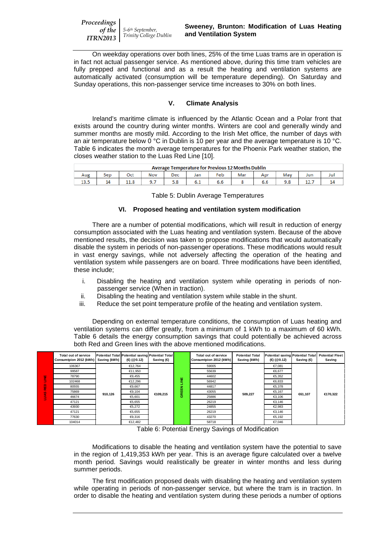*Proceedings of the ITRN2013 5-6th September, Trinity College Dublin*

On weekday operations over both lines, 25% of the time Luas trams are in operation is in fact not actual passenger service. As mentioned above, during this time tram vehicles are fully prepped and functional and as a result the heating and ventilation systems are automatically activated (consumption will be temperature depending). On Saturday and Sunday operations, this non-passenger service time increases to 30% on both lines.

# **V. Climate Analysis**

Ireland's maritime climate is influenced by the Atlantic Ocean and a Polar front that exists around the country during winter months. Winters are cool and generally windy and summer months are mostly mild. According to the Irish Met office, the number of days with an air temperature below 0 °C in Dublin is 10 per year and the average temperature is 10 °C. Table 6 indicates the month average temperatures for the Phoenix Park weather station, the closes weather station to the Luas Red Line [10].

| <b>Average Temperature for Previous 12 Months Dublin</b> |     |      |     |     |     |     |     |     |  |     |     |
|----------------------------------------------------------|-----|------|-----|-----|-----|-----|-----|-----|--|-----|-----|
| Aug                                                      | Sep | Oct  | Nov | Dec | Jan | Feb | Mar |     |  | Jun | Jul |
| 13.5                                                     | 14  | 11.0 | ,,, | 5.8 | 6.1 | 6.6 |     | o.o |  |     |     |

Table 5: Dublin Average Temperatures

## **VI. Proposed heating and ventilation system modification**

There are a number of potential modifications, which will result in reduction of energy consumption associated with the Luas heating and ventilation system. Because of the above mentioned results, the decision was taken to propose modifications that would automatically disable the system in periods of non-passenger operations. These modifications would result in vast energy savings, while not adversely affecting the operation of the heating and ventilation system while passengers are on board. Three modifications have been identified, these include;

- i. Disabling the heating and ventilation system while operating in periods of nonpassenger service (When in traction).
- ii. Disabling the heating and ventilation system while stable in the shunt.<br>iii. Reduce the set point temperature profile of the heating and ventilation
- Reduce the set point temperature profile of the heating and ventilation system.

Depending on external temperature conditions, the consumption of Luas heating and ventilation systems can differ greatly, from a minimum of 1 kWh to a maximum of 60 kWh. Table 6 details the energy consumption savings that could potentially be achieved across both Red and Green lines with the above mentioned modifications.

|              | <b>Total out of service</b><br>Consumtpion 2012 (kWh) | Saving (kWh) | Potential Total Potential saving Potential Total<br>(• (@0.12) | Saving $($ |             | Total out of service<br>Consumtpion 2012 (kWh) | <b>Potential Total</b><br>Saving (kWh)          | <b>Potential saving Potential Total</b><br>(•0.12) | Saving $(4)$ | <b>Potential Fleet</b><br>Saving |  |  |
|--------------|-------------------------------------------------------|--------------|----------------------------------------------------------------|------------|-------------|------------------------------------------------|-------------------------------------------------|----------------------------------------------------|--------------|----------------------------------|--|--|
|              | 106367                                                |              | €12.764                                                        |            |             | 59005                                          |                                                 | €7.081                                             |              |                                  |  |  |
|              | 99587                                                 |              | €11.950                                                        |            |             | 55639                                          |                                                 | €6.677                                             |              |                                  |  |  |
| Ë            | 78790                                                 | 910,126      |                                                                | €9.455     |             |                                                |                                                 | 44602                                              |              | $\bigoplus$ .352                 |  |  |
|              | 102468                                                |              | €12.296                                                        | €109,215   | 뿔<br>롦<br>빑 | 56942                                          |                                                 | €6.833                                             | €61,107      | €170.322                         |  |  |
| 읉            | 80555                                                 |              | €9.667                                                         |            |             | 44817                                          | \$.378<br>€5,167<br>509.227<br>€3.106<br>€3.146 |                                                    |              |                                  |  |  |
|              | 75869                                                 |              | €9,104                                                         |            |             | 43055                                          |                                                 |                                                    |              |                                  |  |  |
| <b>SVINT</b> | 46674                                                 |              | €5.601                                                         |            | ø           | 25886                                          |                                                 |                                                    |              |                                  |  |  |
|              | 47121                                                 |              | €5.655                                                         |            |             | 26219                                          |                                                 |                                                    |              |                                  |  |  |
|              | 43930                                                 |              | €5,272                                                         |            |             |                                                | 24855                                           |                                                    | €2.983       |                                  |  |  |
|              | 47121                                                 |              | €5.655                                                         |            |             | 26219                                          |                                                 | €3.146                                             |              |                                  |  |  |
|              | 77630                                                 |              | €9.316                                                         |            |             | 43270                                          |                                                 | \$.192                                             |              |                                  |  |  |
|              | 104014                                                |              | €12,482                                                        |            |             | 58718                                          |                                                 | €7,046                                             |              |                                  |  |  |

Table 6: Potential Energy Savings of Modification

Modifications to disable the heating and ventilation system have the potential to save in the region of 1,419,353 kWh per year. This is an average figure calculated over a twelve month period. Savings would realistically be greater in winter months and less during summer periods.

The first modification proposed deals with disabling the heating and ventilation system while operating in periods of non-passenger service, but where the tram is in traction. In order to disable the heating and ventilation system during these periods a number of options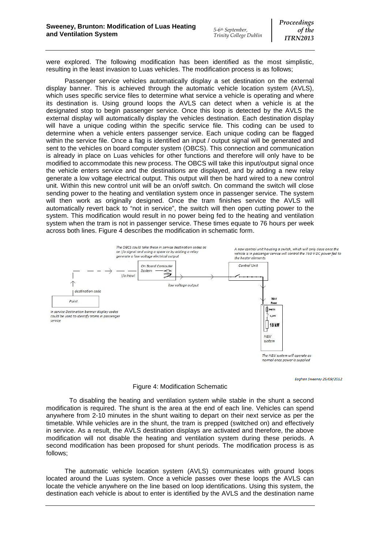were explored. The following modification has been identified as the most simplistic, resulting in the least invasion to Luas vehicles. The modification process is as follows;

Passenger service vehicles automatically display a set destination on the external display banner. This is achieved through the automatic vehicle location system (AVLS), which uses specific service files to determine what service a vehicle is operating and where its destination is. Using ground loops the AVLS can detect when a vehicle is at the designated stop to begin passenger service. Once this loop is detected by the AVLS the external display will automatically display the vehicles destination. Each destination display will have a unique coding within the specific service file. This coding can be used to determine when a vehicle enters passenger service. Each unique coding can be flagged within the service file. Once a flag is identified an input / output signal will be generated and sent to the vehicles on board computer system (OBCS). This connection and communication is already in place on Luas vehicles for other functions and therefore will only have to be modified to accommodate this new process. The OBCS will take this input/output signal once the vehicle enters service and the destinations are displayed, and by adding a new relay generate a low voltage electrical output. This output will then be hard wired to a new control unit. Within this new control unit will be an on/off switch. On command the switch will close sending power to the heating and ventilation system once in passenger service. The system will then work as originally designed. Once the tram finishes service the AVLS will automatically revert back to "not in service", the switch will then open cutting power to the system. This modification would result in no power being fed to the heating and ventilation system when the tram is not in passenger service. These times equate to 76 hours per week across both lines. Figure 4 describes the modification in schematic form.



Eoghan Sweeney 25/09/2012

#### Figure 4: Modification Schematic

To disabling the heating and ventilation system while stable in the shunt a second modification is required. The shunt is the area at the end of each line. Vehicles can spend anywhere from 2-10 minutes in the shunt waiting to depart on their next service as per the timetable. While vehicles are in the shunt, the tram is prepped (switched on) and effectively in service. As a result, the AVLS destination displays are activated and therefore, the above modification will not disable the heating and ventilation system during these periods. A second modification has been proposed for shunt periods. The modification process is as follows;

The automatic vehicle location system (AVLS) communicates with ground loops located around the Luas system. Once a vehicle passes over these loops the AVLS can locate the vehicle anywhere on the line based on loop identifications. Using this system, the destination each vehicle is about to enter is identified by the AVLS and the destination name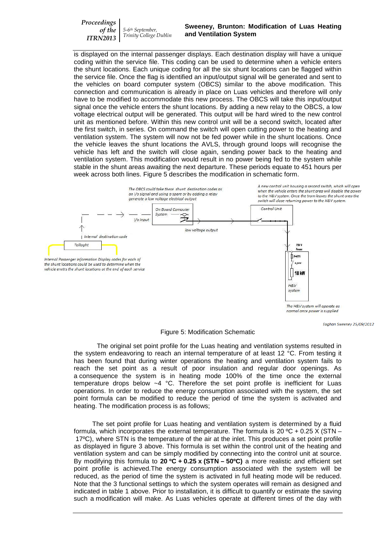*Proceedings of the ITRN2013 5-6th September, Trinity College Dublin*

is displayed on the internal passenger displays. Each destination display will have a unique coding within the service file. This coding can be used to determine when a vehicle enters the shunt locations. Each unique coding for all the six shunt locations can be flagged within the service file. Once the flag is identified an input/output signal will be generated and sent to the vehicles on board computer system (OBCS) similar to the above modification. This connection and communication is already in place on Luas vehicles and therefore will only have to be modified to accommodate this new process. The OBCS will take this input/output signal once the vehicle enters the shunt locations. By adding a new relay to the OBCS, a low voltage electrical output will be generated. This output will be hard wired to the new control unit as mentioned before. Within this new control unit will be a second switch, located after the first switch, in series. On command the switch will open cutting power to the heating and ventilation system. The system will now not be fed power while in the shunt locations. Once the vehicle leaves the shunt locations the AVLS, through ground loops will recognise the vehicle has left and the switch will close again, sending power back to the heating and ventilation system. This modification would result in no power being fed to the system while stable in the shunt areas awaiting the next departure. These periods equate to 451 hours per week across both lines. Figure 5 describes the modification in schematic form.



The H&V system will operate as normal once power is supplied

Eoghan Sweeney 25/09/2012

Figure 5: Modification Schematic

The original set point profile for the Luas heating and ventilation systems resulted in the system endeavoring to reach an internal temperature of at least 12 °C. From testing it has been found that during winter operations the heating and ventilation system fails to reach the set point as a result of poor insulation and regular door openings. As a consequence the system is in heating mode 100% of the time once the external temperature drops below  $-4$  °C. Therefore the set point profile is inefficient for Luas operations. In order to reduce the energy consumption associated with the system, the set point formula can be modified to reduce the period of time the system is activated and heating. The modification process is as follows;

The set point profile for Luas heating and ventilation system is determined by a fluid formula, which incorporates the external temperature. The formula is 20  $\rm{^{\circ}C}$  + 0.25 X (STN – 17ºC), where STN is the temperature of the air at the inlet. This produces a set point profile as displayed in figure 3 above. This formula is set within the control unit of the heating and ventilation system and can be simply modified by connecting into the control unit at source. By modifying this formula to **20 ºC + 0.25 x (STN – 50ºC)** a more realistic and efficient set point profile is achieved.The energy consumption associated with the system will be reduced, as the period of time the system is activated in full heating mode will be reduced. Note that the 3 functional settings to which the system operates will remain as designed and indicated in table 1 above. Prior to installation, it is difficult to quantify or estimate the saving such a modification will make. As Luas vehicles operate at different times of the day with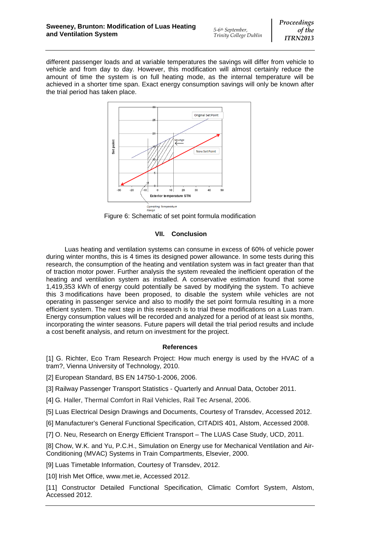different passenger loads and at variable temperatures the savings will differ from vehicle to vehicle and from day to day. However, this modification will almost certainly reduce the amount of time the system is on full heating mode, as the internal temperature will be achieved in a shorter time span. Exact energy consumption savings will only be known after the trial period has taken place.



Figure 6: Schematic of set point formula modification

# **VII. Conclusion**

Luas heating and ventilation systems can consume in excess of 60% of vehicle power during winter months, this is 4 times its designed power allowance. In some tests during this research, the consumption of the heating and ventilation system was in fact greater than that of traction motor power. Further analysis the system revealed the inefficient operation of the heating and ventilation system as installed. A conservative estimation found that some 1,419,353 kWh of energy could potentially be saved by modifying the system. To achieve this 3 modifications have been proposed, to disable the system while vehicles are not operating in passenger service and also to modify the set point formula resulting in a more efficient system. The next step in this research is to trial these modifications on a Luas tram. Energy consumption values will be recorded and analyzed for a period of at least six months, incorporating the winter seasons. Future papers will detail the trial period results and include a cost benefit analysis, and return on investment for the project.

## **References**

[1] G. Richter, Eco Tram Research Project: How much energy is used by the HVAC of a tram?, Vienna University of Technology, 2010.

[2] European Standard, BS EN 14750-1-2006, 2006.

[3] Railway Passenger Transport Statistics - Quarterly and Annual Data, October 2011.

[4] G. Haller, Thermal Comfort in Rail Vehicles, Rail Tec Arsenal, 2006.

[5] Luas Electrical Design Drawings and Documents, Courtesy of Transdev, Accessed 2012.

[6] Manufacturer's General Functional Specification, CITADIS 401, Alstom, Accessed 2008.

[7] O. Neu, Research on Energy Efficient Transport – The LUAS Case Study, UCD, 2011.

[8] Chow, W.K. and Yu, P.C.H., Simulation on Energy use for Mechanical Ventilation and Air-Conditioning (MVAC) Systems in Train Compartments, Elsevier, 2000.

[9] Luas Timetable Information, Courtesy of Transdev, 2012.

[10] Irish Met Office, [www.met.ie,](http://www.met.ie/) Accessed 2012.

[11] Constructor Detailed Functional Specification, Climatic Comfort System, Alstom, Accessed 2012.